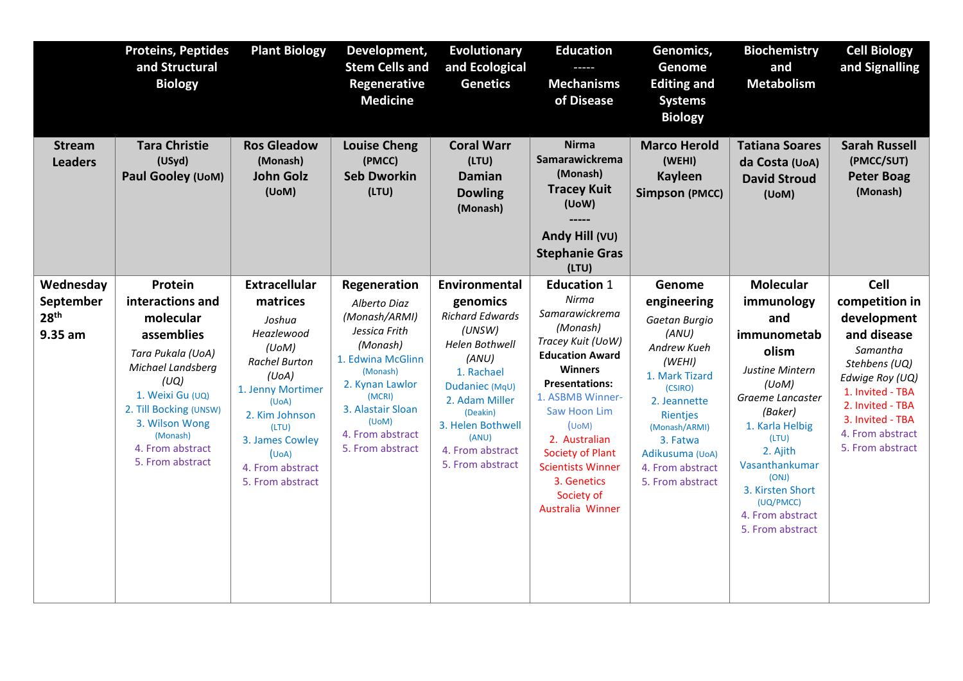|                                                       | <b>Proteins, Peptides</b><br>and Structural<br><b>Biology</b>                                                                                                                                                                | <b>Plant Biology</b>                                                                                                                                                                                                            | Development,<br><b>Stem Cells and</b><br>Regenerative<br><b>Medicine</b>                                                                                                                                       | <b>Evolutionary</b><br>and Ecological<br><b>Genetics</b>                                                                                                                                                                     | <b>Education</b><br><b>Mechanisms</b><br>of Disease                                                                                                                                                                                                                                                                        | Genomics,<br>Genome<br><b>Editing and</b><br><b>Systems</b><br><b>Biology</b>                                                                                                                                             | <b>Biochemistry</b><br>and<br><b>Metabolism</b>                                                                                                                                                                                                                      | <b>Cell Biology</b><br>and Signalling                                                                                                                                                                    |
|-------------------------------------------------------|------------------------------------------------------------------------------------------------------------------------------------------------------------------------------------------------------------------------------|---------------------------------------------------------------------------------------------------------------------------------------------------------------------------------------------------------------------------------|----------------------------------------------------------------------------------------------------------------------------------------------------------------------------------------------------------------|------------------------------------------------------------------------------------------------------------------------------------------------------------------------------------------------------------------------------|----------------------------------------------------------------------------------------------------------------------------------------------------------------------------------------------------------------------------------------------------------------------------------------------------------------------------|---------------------------------------------------------------------------------------------------------------------------------------------------------------------------------------------------------------------------|----------------------------------------------------------------------------------------------------------------------------------------------------------------------------------------------------------------------------------------------------------------------|----------------------------------------------------------------------------------------------------------------------------------------------------------------------------------------------------------|
| <b>Stream</b><br><b>Leaders</b>                       | <b>Tara Christie</b><br>(USyd)<br>Paul Gooley (UoM)                                                                                                                                                                          | <b>Ros Gleadow</b><br>(Monash)<br><b>John Golz</b><br>(UoM)                                                                                                                                                                     | <b>Louise Cheng</b><br>(PMCC)<br><b>Seb Dworkin</b><br>(LTU)                                                                                                                                                   | <b>Coral Warr</b><br>(LTU)<br><b>Damian</b><br><b>Dowling</b><br>(Monash)                                                                                                                                                    | <b>Nirma</b><br>Samarawickrema<br>(Monash)<br><b>Tracey Kuit</b><br>(UoW)<br>Andy Hill (VU)<br><b>Stephanie Gras</b><br>(LTU)                                                                                                                                                                                              | <b>Marco Herold</b><br>(WEHI)<br><b>Kayleen</b><br><b>Simpson (PMCC)</b>                                                                                                                                                  | <b>Tatiana Soares</b><br>da Costa (UoA)<br><b>David Stroud</b><br>(UoM)                                                                                                                                                                                              | <b>Sarah Russell</b><br>(PMCC/SUT)<br><b>Peter Boag</b><br>(Monash)                                                                                                                                      |
| Wednesday<br>September<br>28 <sup>th</sup><br>9.35 am | Protein<br>interactions and<br>molecular<br>assemblies<br>Tara Pukala (UoA)<br>Michael Landsberg<br>(UQ)<br>1. Weixi Gu (UQ)<br>2. Till Bocking (UNSW)<br>3. Wilson Wong<br>(Monash)<br>4. From abstract<br>5. From abstract | <b>Extracellular</b><br>matrices<br>Joshua<br>Heazlewood<br>(UoM)<br><b>Rachel Burton</b><br>(UoA)<br>1. Jenny Mortimer<br>(UoA)<br>2. Kim Johnson<br>(LTU)<br>3. James Cowley<br>(UoA)<br>4. From abstract<br>5. From abstract | Regeneration<br>Alberto Diaz<br>(Monash/ARMI)<br>Jessica Frith<br>(Monash)<br>1. Edwina McGlinn<br>(Monash)<br>2. Kynan Lawlor<br>(MCRI)<br>3. Alastair Sloan<br>(UoM)<br>4. From abstract<br>5. From abstract | Environmental<br>genomics<br><b>Richard Edwards</b><br>(UNSW)<br>Helen Bothwell<br>(ANU)<br>1. Rachael<br>Dudaniec (MqU)<br>2. Adam Miller<br>(Deakin)<br>3. Helen Bothwell<br>(ANU)<br>4. From abstract<br>5. From abstract | <b>Education 1</b><br>Nirma<br>Samarawickrema<br>(Monash)<br>Tracey Kuit (UoW)<br><b>Education Award</b><br><b>Winners</b><br><b>Presentations:</b><br>1. ASBMB Winner-<br>Saw Hoon Lim<br>$(U \circ M)$<br>2. Australian<br>Society of Plant<br><b>Scientists Winner</b><br>3. Genetics<br>Society of<br>Australia Winner | Genome<br>engineering<br>Gaetan Burgio<br>(ANU)<br>Andrew Kueh<br>(WEHI)<br>1. Mark Tizard<br>(CSIRO)<br>2. Jeannette<br>Rientjes<br>(Monash/ARMI)<br>3. Fatwa<br>Adikusuma (UoA)<br>4. From abstract<br>5. From abstract | <b>Molecular</b><br>immunology<br>and<br>immunometab<br>olism<br>Justine Mintern<br>(UoM)<br>Graeme Lancaster<br>(Baker)<br>1. Karla Helbig<br>(LTU)<br>2. Ajith<br>Vasanthankumar<br>(ONJ)<br>3. Kirsten Short<br>(UQ/PMCC)<br>4. From abstract<br>5. From abstract | Cell<br>competition in<br>development<br>and disease<br>Samantha<br>Stehbens (UQ)<br>Edwige Roy (UQ)<br>1. Invited - TBA<br>2. Invited - TBA<br>3. Invited - TBA<br>4. From abstract<br>5. From abstract |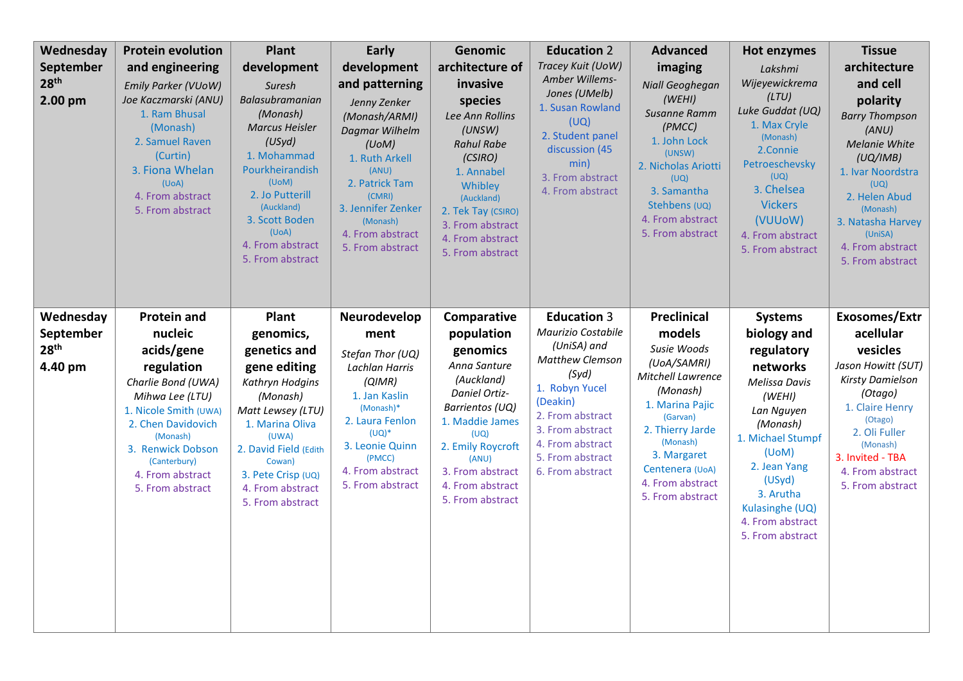| Wednesday<br>September<br>28 <sup>th</sup><br>2.00 pm | <b>Protein evolution</b><br>and engineering<br><b>Emily Parker (VUoW)</b><br>Joe Kaczmarski (ANU)<br>1. Ram Bhusal<br>(Monash)<br>2. Samuel Raven<br>(Curtin)<br>3. Fiona Whelan<br>(UoA)<br>4. From abstract<br>5. From abstract          | Plant<br>development<br>Suresh<br>Balasubramanian<br>(Monash)<br><b>Marcus Heisler</b><br>(USyd)<br>1. Mohammad<br>Pourkheirandish<br>(UoM)<br>2. Jo Putterill<br>(Auckland)<br>3. Scott Boden<br>(UoA)<br>4. From abstract<br>5. From abstract | Early<br>development<br>and patterning<br>Jenny Zenker<br>(Monash/ARMI)<br>Dagmar Wilhelm<br>(UoM)<br>1. Ruth Arkell<br>(ANU)<br>2. Patrick Tam<br>(CMRI)<br>3. Jennifer Zenker<br>(Monash)<br>4. From abstract<br>5. From abstract | Genomic<br>architecture of<br>invasive<br>species<br>Lee Ann Rollins<br>(UNSW)<br><b>Rahul Rabe</b><br>(CSIRO)<br>1. Annabel<br>Whibley<br>(Auckland)<br>2. Tek Tay (CSIRO)<br>3. From abstract<br>4. From abstract<br>5. From abstract | <b>Education 2</b><br>Tracey Kuit (UoW)<br>Amber Willems-<br>Jones (UMelb)<br>1. Susan Rowland<br>(UQ)<br>2. Student panel<br>discussion (45<br>min)<br>3. From abstract<br>4. From abstract                          | <b>Advanced</b><br>imaging<br>Niall Geoghegan<br>(WEHI)<br><b>Susanne Ramm</b><br>(PMCC)<br>1. John Lock<br>(UNSW)<br>2. Nicholas Ariotti<br>(UQ)<br>3. Samantha<br>Stehbens (UQ)<br>4. From abstract<br>5. From abstract            | Hot enzymes<br>Lakshmi<br>Wijeyewickrema<br>(LTU)<br>Luke Guddat (UQ)<br>1. Max Cryle<br>(Monash)<br>2.Connie<br>Petroeschevsky<br>(UQ)<br>3. Chelsea<br><b>Vickers</b><br>(VUUoW)<br>4. From abstract<br>5. From abstract                   | <b>Tissue</b><br>architecture<br>and cell<br>polarity<br><b>Barry Thompson</b><br>(ANU)<br>Melanie White<br>(UQ/IMB)<br>1. Ivar Noordstra<br>(UQ)<br>2. Helen Abud<br>(Monash)<br>3. Natasha Harvey<br>(UniSA)<br>4. From abstract<br>5. From abstract |
|-------------------------------------------------------|--------------------------------------------------------------------------------------------------------------------------------------------------------------------------------------------------------------------------------------------|-------------------------------------------------------------------------------------------------------------------------------------------------------------------------------------------------------------------------------------------------|-------------------------------------------------------------------------------------------------------------------------------------------------------------------------------------------------------------------------------------|-----------------------------------------------------------------------------------------------------------------------------------------------------------------------------------------------------------------------------------------|-----------------------------------------------------------------------------------------------------------------------------------------------------------------------------------------------------------------------|--------------------------------------------------------------------------------------------------------------------------------------------------------------------------------------------------------------------------------------|----------------------------------------------------------------------------------------------------------------------------------------------------------------------------------------------------------------------------------------------|--------------------------------------------------------------------------------------------------------------------------------------------------------------------------------------------------------------------------------------------------------|
| Wednesday<br>September<br>28 <sup>th</sup><br>4.40 pm | <b>Protein and</b><br>nucleic<br>acids/gene<br>regulation<br>Charlie Bond (UWA)<br>Mihwa Lee (LTU)<br>1. Nicole Smith (UWA)<br>2. Chen Davidovich<br>(Monash)<br>3. Renwick Dobson<br>(Canterbury)<br>4. From abstract<br>5. From abstract | <b>Plant</b><br>genomics,<br>genetics and<br>gene editing<br>Kathryn Hodgins<br>(Monash)<br>Matt Lewsey (LTU)<br>1. Marina Oliva<br>(UWA)<br>2. David Field (Edith<br>Cowan)<br>3. Pete Crisp (UQ)<br>4. From abstract<br>5. From abstract      | Neurodevelop<br>ment<br>Stefan Thor (UQ)<br>Lachlan Harris<br>(QIMR)<br>1. Jan Kaslin<br>(Monash)*<br>2. Laura Fenlon<br>$(UQ)^*$<br>3. Leonie Quinn<br>(PMCC)<br>4. From abstract<br>5. From abstract                              | Comparative<br>population<br>genomics<br>Anna Santure<br>(Auckland)<br>Daniel Ortiz-<br>Barrientos (UQ)<br>1. Maddie James<br>(UQ)<br>2. Emily Roycroft<br>(ANU)<br>3. From abstract<br>4. From abstract<br>5. From abstract            | <b>Education 3</b><br>Maurizio Costabile<br>(UniSA) and<br>Matthew Clemson<br>(Syd)<br>1. Robyn Yucel<br>(Deakin)<br>2. From abstract<br>3. From abstract<br>4. From abstract<br>5. From abstract<br>6. From abstract | <b>Preclinical</b><br>models<br>Susie Woods<br>(UOA/SAMRI)<br>Mitchell Lawrence<br>(Monash)<br>1. Marina Pajic<br>(Garvan)<br>2. Thierry Jarde<br>(Monash)<br>3. Margaret<br>Centenera (UoA)<br>4. From abstract<br>5. From abstract | <b>Systems</b><br>biology and<br>regulatory<br>networks<br>Melissa Davis<br>(WEHI)<br>Lan Nguyen<br>(Monash)<br>1. Michael Stumpf<br>(UoM)<br>2. Jean Yang<br>(USyd)<br>3. Arutha<br>Kulasinghe (UQ)<br>4. From abstract<br>5. From abstract | Exosomes/Extr<br>acellular<br>vesicles<br>Jason Howitt (SUT)<br>Kirsty Damielson<br>(Otago)<br>1. Claire Henry<br>(Otago)<br>2. Oli Fuller<br>(Monash)<br>3. Invited - TBA<br>4. From abstract<br>5. From abstract                                     |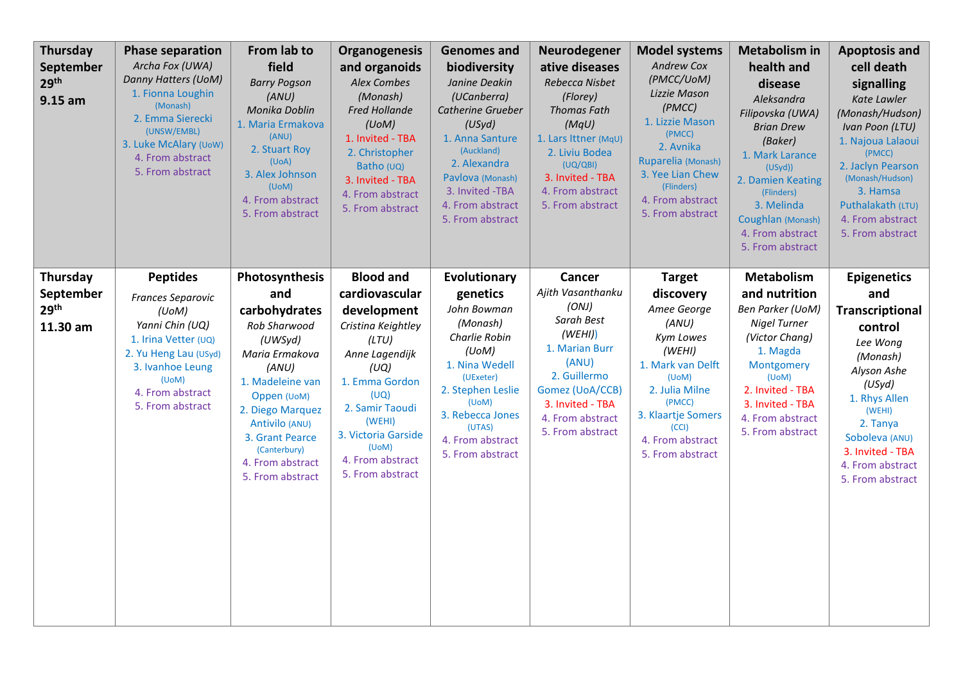| <b>Thursday</b><br>September<br>29 <sup>th</sup><br>$9.15$ am | <b>Phase separation</b><br>Archa Fox (UWA)<br>Danny Hatters (UoM)<br>1. Fionna Loughin<br>(Monash)<br>2. Emma Sierecki<br>(UNSW/EMBL)<br>3. Luke McAlary (UoW)<br>4. From abstract<br>5. From abstract | From lab to<br>field<br><b>Barry Pogson</b><br>(ANU)<br>Monika Doblin<br>1. Maria Ermakova<br>(ANU)<br>2. Stuart Roy<br>(UoA)<br>3. Alex Johnson<br>(UoM)<br>4. From abstract<br>5. From abstract                                                | <b>Organogenesis</b><br>and organoids<br><b>Alex Combes</b><br>(Monash)<br><b>Fred Hollande</b><br>(UoM)<br>1. Invited - TBA<br>2. Christopher<br>Batho (UQ)<br>3. Invited - TBA<br>4. From abstract<br>5. From abstract                  | <b>Genomes and</b><br>biodiversity<br>Janine Deakin<br>(UCanberra)<br>Catherine Grueber<br>(USyd)<br>1. Anna Santure<br>(Auckland)<br>2. Alexandra<br>Pavlova (Monash)<br>3. Invited -TBA<br>4. From abstract<br>5. From abstract | Neurodegener<br>ative diseases<br>Rebecca Nisbet<br>(Florey)<br><b>Thomas Fath</b><br>(MqU)<br>1. Lars Ittner (MqU)<br>2. Liviu Bodea<br>(UQ/QBI)<br>3. Invited - TBA<br>4. From abstract<br>5. From abstract | <b>Model systems</b><br><b>Andrew Cox</b><br>(PMCC/UoM)<br>Lizzie Mason<br>(PMCC)<br>1. Lizzie Mason<br>(PMCC)<br>2. Avnika<br>Ruparelia (Monash)<br>3. Yee Lian Chew<br>(Flinders)<br>4. From abstract<br>5. From abstract | <b>Metabolism in</b><br>health and<br>disease<br>Aleksandra<br>Filipovska (UWA)<br><b>Brian Drew</b><br>(Baker)<br>1. Mark Larance<br>(USyd))<br>2. Damien Keating<br>(Flinders)<br>3. Melinda<br>Coughlan (Monash)<br>4. From abstract<br>5. From abstract | <b>Apoptosis and</b><br>cell death<br>signalling<br>Kate Lawler<br>(Monash/Hudson)<br>Ivan Poon (LTU)<br>1. Najoua Lalaoui<br>(PMCC)<br>2. Jaclyn Pearson<br>(Monash/Hudson)<br>3. Hamsa<br>Puthalakath (LTU)<br>4. From abstract<br>5. From abstract |
|---------------------------------------------------------------|--------------------------------------------------------------------------------------------------------------------------------------------------------------------------------------------------------|--------------------------------------------------------------------------------------------------------------------------------------------------------------------------------------------------------------------------------------------------|-------------------------------------------------------------------------------------------------------------------------------------------------------------------------------------------------------------------------------------------|-----------------------------------------------------------------------------------------------------------------------------------------------------------------------------------------------------------------------------------|---------------------------------------------------------------------------------------------------------------------------------------------------------------------------------------------------------------|-----------------------------------------------------------------------------------------------------------------------------------------------------------------------------------------------------------------------------|-------------------------------------------------------------------------------------------------------------------------------------------------------------------------------------------------------------------------------------------------------------|-------------------------------------------------------------------------------------------------------------------------------------------------------------------------------------------------------------------------------------------------------|
| Thursday<br>September<br>29 <sup>th</sup><br>11.30 am         | <b>Peptides</b><br>Frances Separovic<br>(UoM)<br>Yanni Chin (UQ)<br>1. Irina Vetter (UQ)<br>2. Yu Heng Lau (USyd)<br>3. Ivanhoe Leung<br>(UoM)<br>4. From abstract<br>5. From abstract                 | Photosynthesis<br>and<br>carbohydrates<br>Rob Sharwood<br>(UWSyd)<br>Maria Ermakova<br>(ANU)<br>1. Madeleine van<br>Oppen (UoM)<br>2. Diego Marquez<br>Antivilo (ANU)<br>3. Grant Pearce<br>(Canterbury)<br>4. From abstract<br>5. From abstract | <b>Blood and</b><br>cardiovascular<br>development<br>Cristina Keightley<br>(LTU)<br>Anne Lagendijk<br>(UQ)<br>1. Emma Gordon<br>(UQ)<br>2. Samir Taoudi<br>(WEHI)<br>3. Victoria Garside<br>(UoM)<br>4. From abstract<br>5. From abstract | Evolutionary<br>genetics<br>John Bowman<br>(Monash)<br>Charlie Robin<br>(UoM)<br>1. Nina Wedell<br>(UExeter)<br>2. Stephen Leslie<br>(UoM)<br>3. Rebecca Jones<br>(UTAS)<br>4. From abstract<br>5. From abstract                  | Cancer<br>Ajith Vasanthanku<br>(ONJ)<br>Sarah Best<br>(WEHI))<br>1. Marian Burr<br>(ANU)<br>2. Guillermo<br>Gomez (UoA/CCB)<br>3. Invited - TBA<br>4. From abstract<br>5. From abstract                       | <b>Target</b><br>discovery<br>Amee George<br>(ANU)<br>Kym Lowes<br>(WEHI)<br>1. Mark van Delft<br>(UoM)<br>2. Julia Milne<br>(PMCC)<br>3. Klaartje Somers<br>(CCI)<br>4. From abstract<br>5. From abstract                  | Metabolism<br>and nutrition<br><b>Ben Parker (UoM)</b><br><b>Nigel Turner</b><br>(Victor Chang)<br>1. Magda<br>Montgomery<br>(UoM)<br>2. Invited - TBA<br>3. Invited - TBA<br>4. From abstract<br>5. From abstract                                          | <b>Epigenetics</b><br>and<br>Transcriptional<br>control<br>Lee Wong<br>(Monash)<br>Alyson Ashe<br>(USyd)<br>1. Rhys Allen<br>(WEHI)<br>2. Tanya<br>Soboleva (ANU)<br>3. Invited - TBA<br>4. From abstract<br>5. From abstract                         |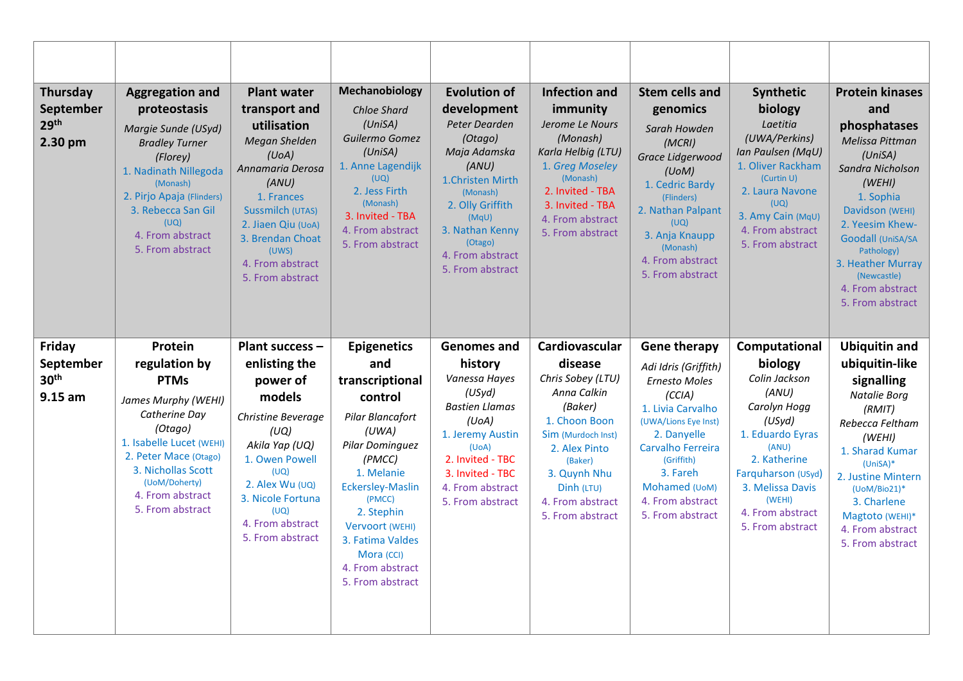| Thursday<br>September<br>29 <sup>th</sup><br>2.30 pm | <b>Aggregation and</b><br>proteostasis<br>Margie Sunde (USyd)<br><b>Bradley Turner</b><br>(Florey)<br>1. Nadinath Nillegoda<br>(Monash)<br>2. Pirjo Apaja (Flinders)<br>3. Rebecca San Gil<br>(UQ)<br>4. From abstract<br>5. From abstract | <b>Plant water</b><br>transport and<br>utilisation<br>Megan Shelden<br>(U <sub>0</sub> A)<br>Annamaria Derosa<br>(ANU)<br>1. Frances<br>Sussmilch (UTAS)<br>2. Jiaen Qiu (UoA)<br>3. Brendan Choat<br>(UWS)<br>4. From abstract<br>5. From abstract | Mechanobiology<br><b>Chloe Shard</b><br>(UniSA)<br>Guilermo Gomez<br>(UniSA)<br>1. Anne Lagendijk<br>(UQ)<br>2. Jess Firth<br>(Monash)<br>3. Invited - TBA<br>4. From abstract<br>5. From abstract                                                                              | <b>Evolution of</b><br>development<br>Peter Dearden<br>(Otago)<br>Maja Adamska<br>(ANU)<br>1. Christen Mirth<br>(Monash)<br>2. Olly Griffith<br>(MqU)<br>3. Nathan Kenny<br>(Otago)<br>4. From abstract<br>5. From abstract | <b>Infection and</b><br>immunity<br>Jerome Le Nours<br>(Monash)<br>Karla Helbig (LTU)<br>1. Greg Moseley<br>(Monash)<br>2. Invited - TBA<br>3. Invited - TBA<br>4. From abstract<br>5. From abstract              | <b>Stem cells and</b><br>genomics<br>Sarah Howden<br>(MCRI)<br>Grace Lidgerwood<br>(UoM)<br>1. Cedric Bardy<br>(Flinders)<br>2. Nathan Palpant<br>(UQ)<br>3. Anja Knaupp<br>(Monash)<br>4. From abstract<br>5. From abstract               | Synthetic<br>biology<br>Laetitia<br>(UWA/Perkins)<br>Ian Paulsen (MqU)<br>1. Oliver Rackham<br>(Curtin U)<br>2. Laura Navone<br>(UQ)<br>3. Amy Cain (MqU)<br>4. From abstract<br>5. From abstract                     | <b>Protein kinases</b><br>and<br>phosphatases<br>Melissa Pittman<br>(UniSA)<br>Sandra Nicholson<br>(WEHI)<br>1. Sophia<br>Davidson (WEHI)<br>2. Yeesim Khew-<br>Goodall (UniSA/SA<br>Pathology)<br>3. Heather Murray<br>(Newcastle)<br>4. From abstract<br>5. From abstract |
|------------------------------------------------------|--------------------------------------------------------------------------------------------------------------------------------------------------------------------------------------------------------------------------------------------|-----------------------------------------------------------------------------------------------------------------------------------------------------------------------------------------------------------------------------------------------------|---------------------------------------------------------------------------------------------------------------------------------------------------------------------------------------------------------------------------------------------------------------------------------|-----------------------------------------------------------------------------------------------------------------------------------------------------------------------------------------------------------------------------|-------------------------------------------------------------------------------------------------------------------------------------------------------------------------------------------------------------------|--------------------------------------------------------------------------------------------------------------------------------------------------------------------------------------------------------------------------------------------|-----------------------------------------------------------------------------------------------------------------------------------------------------------------------------------------------------------------------|-----------------------------------------------------------------------------------------------------------------------------------------------------------------------------------------------------------------------------------------------------------------------------|
| Friday<br>September<br>30 <sup>th</sup><br>$9.15$ am | Protein<br>regulation by<br><b>PTMs</b><br>James Murphy (WEHI)<br>Catherine Day<br>(Otago)<br>1. Isabelle Lucet (WEHI)<br>2. Peter Mace (Otago)<br>3. Nichollas Scott<br>(UoM/Doherty)<br>4. From abstract<br>5. From abstract             | Plant success -<br>enlisting the<br>power of<br>models<br>Christine Beverage<br>(UQ)<br>Akila Yap (UQ)<br>1. Owen Powell<br>(UQ)<br>2. Alex Wu (UQ)<br>3. Nicole Fortuna<br>(UQ)<br>4. From abstract<br>5. From abstract                            | <b>Epigenetics</b><br>and<br>transcriptional<br>control<br>Pilar Blancafort<br>(UWA)<br>Pilar Dominguez<br>(PMCC)<br>1. Melanie<br><b>Eckersley-Maslin</b><br>(PMCC)<br>2. Stephin<br>Vervoort (WEHI)<br>3. Fatima Valdes<br>Mora (CCI)<br>4. From abstract<br>5. From abstract | <b>Genomes and</b><br>history<br>Vanessa Hayes<br>(USyd)<br><b>Bastien Llamas</b><br>(UoA)<br>1. Jeremy Austin<br>(UoA)<br>2. Invited - TBC<br>3. Invited - TBC<br>4. From abstract<br>5. From abstract                     | Cardiovascular<br>disease<br>Chris Sobey (LTU)<br>Anna Calkin<br>(Baker)<br>1. Choon Boon<br>Sim (Murdoch Inst)<br>2. Alex Pinto<br>(Baker)<br>3. Quynh Nhu<br>Dinh (LTU)<br>4. From abstract<br>5. From abstract | <b>Gene therapy</b><br>Adi Idris (Griffith)<br>Ernesto Moles<br>(CCIA)<br>1. Livia Carvalho<br>(UWA/Lions Eye Inst)<br>2. Danyelle<br>Carvalho Ferreira<br>(Griffith)<br>3. Fareh<br>Mohamed (UoM)<br>4. From abstract<br>5. From abstract | Computational<br>biology<br>Colin Jackson<br>(ANU)<br>Carolyn Hogg<br>(USyd)<br>1. Eduardo Eyras<br>(ANU)<br>2. Katherine<br>Farquharson (USyd)<br>3. Melissa Davis<br>(WEHI)<br>4. From abstract<br>5. From abstract | <b>Ubiquitin and</b><br>ubiquitin-like<br>signalling<br>Natalie Borg<br>(RMIT)<br>Rebecca Feltham<br>(WEHI)<br>1. Sharad Kumar<br>$(UniSA)*$<br>2. Justine Mintern<br>(UoM/Bio21)*<br>3. Charlene<br>Magtoto (WEHI)*<br>4. From abstract<br>5. From abstract                |